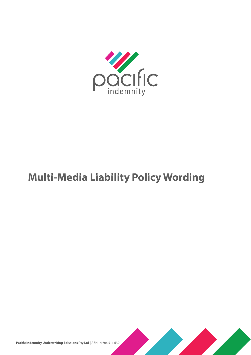

# **Multi-Media Liability Policy Wording**



Pacific Indemnity Underwriting Solutions Pty Ltd | ABN 14 606 511 639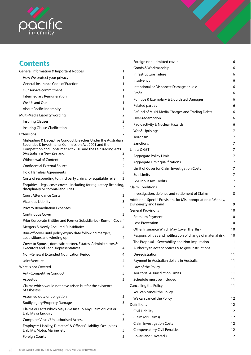

# **Contents**

| <b>General Information &amp; Important Notices</b>                                                                                                                                                                | 1 |
|-------------------------------------------------------------------------------------------------------------------------------------------------------------------------------------------------------------------|---|
| How We protect your privacy                                                                                                                                                                                       | 1 |
| <b>General Insurance Code of Practice</b>                                                                                                                                                                         | 1 |
| Our service commitment                                                                                                                                                                                            | 1 |
| Intermediary Remuneration                                                                                                                                                                                         | 1 |
| We, Us and Our                                                                                                                                                                                                    | 1 |
| About Pacific Indemnity                                                                                                                                                                                           | 1 |
| Multi-Media Liability wording                                                                                                                                                                                     | 2 |
| <b>Insuring Clauses</b>                                                                                                                                                                                           | 2 |
| Insuring Clause Clarification                                                                                                                                                                                     | 2 |
| Extensions                                                                                                                                                                                                        | 2 |
| Misleading & Deceptive Conduct Breaches Under the Australian<br>Securities & Investments Commission Act 2001 and the<br>Competition and Consumer Act 2010 and the Fair Trading Acts<br>(Australian & New Zealand) | 2 |
| <b>Withdrawal of Content</b>                                                                                                                                                                                      | 2 |
| <b>Confidential External Source</b>                                                                                                                                                                               | 2 |
| <b>Hold Harmless Agreements</b>                                                                                                                                                                                   | 3 |
| Costs of responding to third party claims for equitable relief                                                                                                                                                    | 3 |
| Enquiries - legal costs cover - including for regulatory, licensing,<br>disciplinary or coronial enquiries                                                                                                        | 3 |
| <b>Court Attendance Costs</b>                                                                                                                                                                                     | 3 |
| Vicarious Liability                                                                                                                                                                                               | 3 |
| <b>Privacy Remediation Expenses</b>                                                                                                                                                                               | 3 |
| <b>Continuous Cover</b>                                                                                                                                                                                           | 3 |
| Prior Corporate Entities and Former Subsidiaries - Run-off Cover4                                                                                                                                                 |   |
| Mergers & Newly Acquired Subsidiaries                                                                                                                                                                             | 4 |
| Run-off cover until policy expiry date following mergers,<br>acquisitions and winding up                                                                                                                          | 4 |
| Cover to Spouse, domestic partner, Estates, Administrators &<br><b>Executors and Legal Representatives</b>                                                                                                        | 4 |
| Non-Renewal Extended Notification Period                                                                                                                                                                          | 4 |
| Joint Venture                                                                                                                                                                                                     | 4 |
| What is not Covered                                                                                                                                                                                               | 5 |
| <b>Anti-Competitive Conduct</b>                                                                                                                                                                                   | 5 |
| Asbestos                                                                                                                                                                                                          | 5 |
| Claims which would not have arisen but for the existence<br>of asbestos.                                                                                                                                          | 5 |
| Assumed duty or obligation                                                                                                                                                                                        | 5 |
| <b>Bodily Injury/Property Damage</b>                                                                                                                                                                              | 5 |
| Claims or Facts Which May Give Rise To Any Claim or Loss or<br>Liability or Enquiry                                                                                                                               | 5 |
| Computer Virus / Unauthorised Access                                                                                                                                                                              | 5 |
| Employers Liability, Directors' & Officers' Liability, Occupier's<br>Liability, Motor, Marine, etc                                                                                                                | 5 |
| <b>Foreign Courts</b>                                                                                                                                                                                             | 5 |

| Foreign non-admitted cover                                                           | 6  |
|--------------------------------------------------------------------------------------|----|
| Goods & Workmanship                                                                  |    |
| Infrastructure Failure                                                               |    |
| Insolvency                                                                           |    |
| Intentional or Dishonest Damage or Loss                                              |    |
| Profit                                                                               |    |
| Punitive & Exemplary & Liquidated Damages                                            |    |
| <b>Related parties</b>                                                               |    |
| Refund of Multi-Media Charges and Trading Debts                                      |    |
| Over-redemption                                                                      |    |
| Radioactivity & Nuclear Hazards                                                      |    |
| War & Uprisings                                                                      |    |
| Terrorism                                                                            | 7  |
| Sanctions                                                                            | 7  |
| Limits & GST                                                                         | 7  |
| Aggregate Policy Limit                                                               | 7  |
| Aggregate Limit qualifications                                                       | 7  |
| Limit of Cover for Claim Investigation Costs                                         | 7  |
| <b>Sub Limits</b>                                                                    | 7  |
| <b>GST Input Tax Credits</b>                                                         | 7  |
| <b>Claim Conditions</b>                                                              | 7  |
| Investigation, defence and settlement of Claims                                      | 8  |
| Additional Special Provisions for Misappropriation of Money,<br>Dishonesty and Fraud | 9  |
| <b>General Provisions</b>                                                            | 10 |
| Premium Payment                                                                      | 10 |
| Loss Prevention                                                                      |    |
| Other Insurance Which May Cover The Risk                                             |    |
| Responsibilities and notification of change of material risk                         |    |
| The Proposal – Severability and Non-imputation                                       |    |
| Authority to accept notices & to give instructions                                   |    |
| De-registration                                                                      |    |
| Payment in Australian dollars in Australia                                           | 11 |
| Law of the Policy                                                                    | 11 |
| Territorial & Jurisdiction Limits                                                    | 11 |
| Schedule must be included                                                            | 11 |
| Cancelling the Policy                                                                | 11 |
| You can cancel the Policy                                                            | 11 |
| We can cancel the Policy                                                             | 12 |
| <b>Definitions</b>                                                                   | 12 |
| Civil Liability                                                                      | 12 |
| Claim (or Claims)                                                                    | 12 |
| <b>Claim Investigation Costs</b>                                                     | 12 |
| <b>Compensatory Civil Penalties</b>                                                  | 12 |
| Cover (and 'Covered')                                                                | 12 |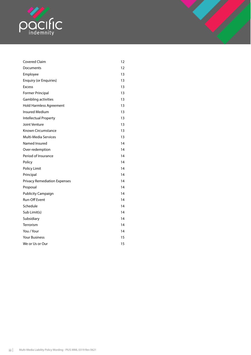

| <b>Covered Claim</b>                | 12 |
|-------------------------------------|----|
| Documents                           | 12 |
| Employee                            | 13 |
| <b>Enquiry (or Enquiries)</b>       | 13 |
| <b>Excess</b>                       | 13 |
| <b>Former Principal</b>             | 13 |
| Gambling activities                 | 13 |
| <b>Hold Harmless Agreement</b>      | 13 |
| <b>Insured Medium</b>               | 13 |
| Intellectual Property               | 13 |
| Joint Venture                       | 13 |
| Known Circumstance                  | 13 |
| <b>Multi-Media Services</b>         | 13 |
| Named Insured                       | 14 |
| Over-redemption                     | 14 |
| Period of Insurance                 | 14 |
| Policy                              | 14 |
| Policy Limit                        | 14 |
| Principal                           | 14 |
| <b>Privacy Remediation Expenses</b> | 14 |
| Proposal                            | 14 |
| <b>Publicity Campaign</b>           | 14 |
| <b>Run-Off Event</b>                | 14 |
| Schedule                            | 14 |
| Sub Limit(s)                        | 14 |
| Subsidiary                          | 14 |
| Terrorism                           | 14 |
| You / Your                          | 14 |
| <b>Your Business</b>                | 15 |
| We or Us or Our                     | 15 |
|                                     |    |

1 J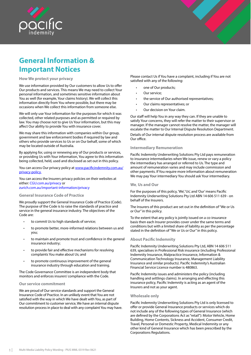<span id="page-3-0"></span>

# **General Information & Important Notices**

#### **How We protect your privacy**

We use information provided by Our customers to allow Us to offer Our products and services. This means We may need to collect Your personal information, and sometimes sensitive information about You as well (for example, Your claims history). We will collect this information directly from You where possible, but there may be occasions when We collect this information from someone else.

We will only use Your information for the purposes for which it was collected, other related purposes and as permitted or required by law. You may choose not to give Us Your information, but this may affect Our ability to provide You with insurance cover.

We may share this information with companies within Our group, government and law enforcement bodies if required by law and others who provide services to Us or on Our behalf, some of which may be located outside of Australia.

By applying for, using or renewing any of Our products or services, or providing Us with Your information, You agree to this information being collected, held, used and disclosed as set out in this policy.

You can access Our privacy policy at www.pacificindemnity.com.au/ privacy-policy.

You can access the Insurers privacy policies on their websites at either: CGU.com.au/privacy or zurich.com.au/important-information/privacy

#### **General Insurance Code of Practice**

We proudly support the General Insurance Code of Practice (Code). The purpose of the Code is to raise the standards of practice and service in the general insurance industry. The objectives of the Code are:

- to commit Us to high standards of service;
- to promote better, more-informed relations between us and you;
- to maintain and promote trust and confidence in the general insurance industry;
- to provide fair and effective mechanisms for resolving complaints You make about Us; and
- to promote continuous improvement of the general insurance industry through education and training.

The Code Governance Committee is an independent body that monitors and enforces insurers' compliance with the Code.

#### **Our service commitment**

We are proud of Our service standards and support the General Insurance Code of Practice. In an unlikely event that You are not satisfied with the way in which We have dealt with You, as part of Our commitment to customer service, We have an internal dispute resolution process in place to deal with any complaint You may have. Please contact Us if You have a complaint, including if You are not satisfied with any of the following:

- one of Our products;
- Our service;
- the service of Our authorised representatives;
- Our claims representatives; or
- Our decision on Your claim.

Our staff will help You in any way they can. If they are unable to satisfy Your concerns, they will refer the matter to their supervisor or manager. If the manager cannot resolve the matter, the manager will escalate the matter to Our Internal Dispute Resolution Department. Details of Our internal dispute resolution process are available from Our office.

#### **Intermediary Remuneration**

Pacific Indemnity Underwriting Solutions Pty Ltd pays remuneration to insurance intermediaries when We issue, renew or vary a policy the intermediary has arranged or referred to Us. The type and amount of remuneration varies and may include commission and other payments. If You require more information about remuneration We may pay Your intermediary You should ask Your intermediary.

#### **We**, **Us and Our**

For the purposes of this policy, 'We', 'Us', and 'Our' means Pacific Indemnity Underwriting Solutions Pty Ltd ABN 14 606 511 639 - on behalf of the Insurers.

The Insurers of this product are set out in the definition of "We or Us or Our" in this policy.

To the extent that any policy is jointly issued on a co-insurance basis then each Insurer provides cover under the same terms and conditions but with a limited share of liability as per the percentage stated in the definition of "We or Us or Our" in this policy.

#### **About Pacific Indemnity**

Pacific Indemnity Underwriting Solutions Pty Ltd, ABN 14 606 511 639, specialises in Professional Risk insurance (including Professional Indemnity Insurance, Malpractice Insurance, Information & Communication Technology Insurance, Management Liability Insurance and similar products). Pacific Indemnity's Australian Financial Service Licence number is 480863.

Pacific Indemnity issues and administers the policy (including handling and settlings claims). In arranging and effecting this insurance policy, Pacific Indemnity is acting as an agent of the Insurers and not as your agent.

#### **Wholesale only**

Pacific Indemnity Underwriting Solutions Pty Ltd is only licensed to offer or provide General Insurance products or services which do not include any of the following types of General Insurance (which are defined by the Corporations Act as "retail"): Motor Vehicle, Home Building, Home Contents, Sickness and Accident, Consumer Credit, Travel, Personal or Domestic Property, Medical Indemnity or any other kind of General Insurance which has been prescribed by the Corporations Regulations.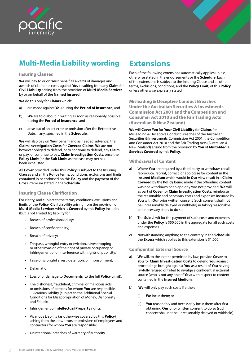<span id="page-4-0"></span>



# **Multi-Media Liability wording**

## **Insuring Clauses**

**We** will pay to or on **Your** behalf all awards of damages and awards of claimants costs against **You** resulting from any **Claim** for **Civil Liability** arising from the provision of **Multi-Media Services**  by or on behalf of the **Named Insured**.

**We** do this only for **Claims** which:

- a) are made against **You** during the **Period of Insurance**; and
- b) **We** are told about in writing as soon as reasonably possible during the **Period of Insurance**; and
- c) arise out of an act error or omission after the Retroactive Date, if any, specified in the **Schedule**.

**We** will also pay on **Your** behalf (and as needed, advance) the **Claim Investigation Costs** for **Covered Claims**. **We** are not however obliged to defend, or to continue to defend, any **Claim**  or pay, or continue to pay, **Claim Investigation Costs**, once the **Policy Limit** (or the **Sub Limit**, as the case may be) has been exhausted.

All **Cover** provided under this **Policy** is subject to the Insuring Clauses and all the **Policy** terms, conditions, exclusions and limits contained in or endorsed on this **Policy** and the payment of the Gross Premium stated in the **Schedule**.

## **Insuring Clause Clarification**

For clarity, and subject to the terms, conditions, exclusions and limits of the **Policy**, **Civil Liability** arising from the provision of **Multi-Media Services** which is **Covered** by this **Policy** includes (but is not limited to) liability for:

- Breach of professional duty;
- Breach of confidentiality;
- Breach of privacy;
- Trespass, wrongful entry or eviction, eavesdropping or other invasion of the right of private occupancy or infringement of or interference with rights of publicity;
- False or wrongful arrest, detention, or imprisonment;
- Defamation;
- Loss of or damage to **Documents** (to the full **Policy Limit**);
- The dishonest, fraudulent, criminal or malicious acts or omissions of persons for whom **You** are responsible - vicarious liability (subject to the Additional Special Conditions for Misappropriation of Money, Dishonesty and Fraud);
- Infringement of **Intellectual Property** rights;
- Vicarious Liability (as otherwise covered by this **Policy**) arising from the acts, errors or omissions of employees and contractors for whom **You** are responsible;
- Unintentional breaches of warranty of authority.

# **Extensions**

Each of the following extensions automatically applies unless otherwise stated in the endorsements or the **Schedule**. Each of the extensions is subject to the Insuring Clause and all other terms, exclusions, conditions, and the **Policy Limit**, of this **Policy** unless otherwise expressly stated.

**Misleading & Deceptive Conduct Breaches Under the Australian Securities & Investments Commission Act 2001 and the Competition and Consumer Act 2010 and the Fair Trading Acts (Australian & New Zealand)**

**We** will **Cover You** for **Your Civil Liability** for **Claims** for Misleading & Deceptive Conduct Breaches of the Australian Securities & Investments Commission Act 2001, the Competition and Consumer Act 2010 and the Fair Trading Acts (Australian & New Zealand) arising from the provision by **You** of **Multi-Media Services Covered** by this **Policy**.

## **Withdrawal of Content**

- a) Where **You** are required by a third party to withdraw, recall, reproduce, reprint, correct, or apologise for content in the **Insured Medium** which would in **Our** view result in a **Claim Covered** by the **Policy** being made if the offending content was not withdrawn or an apology was not provided, **We** will, as part of **Cover** for **Claim Investigation Costs**, reimburse the reasonable and necessary costs and expenses incurred by **You** with **Our** prior written consent (such consent shall not be unreasonably delayed or withheld) in taking reasonable and necessary steps to do so.
- b) The **Sub Limit** for the payment of such costs and expenses under the **Policy** is \$50,000 in the aggregate for all such costs and expenses.
- c) Notwithstanding anything to the contrary in the **Schedule**, the **Excess** which applies to this extension is \$1,000.

## **Confidential External Source**

- a) **We** will, to the extent permitted by law, provide **Cover** to **You** for **Claim Investigation Costs** to defend **You** against proceedings brought against **You** as a result of **You** having lawfully refused or failed to divulge a confidential external source (who is not any one of **You**) with respect to content contained in the **Insured Medium**.
- b) **We** will only pay such costs if either:
	- (i) **We** incur them; or
	- (ii) **You** reasonably and necessarily incur them after first obtaining **Our** prior written consent to do so (such consent shall not be unreasonably delayed or withheld).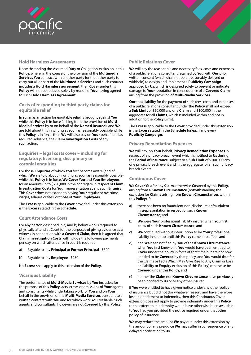<span id="page-5-0"></span>



## **Hold Harmless Agreements**

Notwithstanding the 'Assumed Duty or Obligation' exclusion in this **Policy**, where, in the course of the provision of the **Multimedia Services You** contract with another party for that other party to carry out all or part of the **Multimedia Services** and such contract includes a **Hold Harmless agreement**, then **Cover** under this **Policy** will not be reduced solely by reason of **You** having agreed to such **Hold Harmless Agreement**.

## **Costs of responding to third party claims for equitable relief**

In so far as an action for equitable relief is brought against **You** while this **Policy** is in force (arising from the provision of **Multi-Media Services** by or on behalf of the **Named Insured**), and **We** are told about this in writing as soon as reasonably possible while this **Policy** is in force, then **We** will also pay on **Your** behalf (and as required, advance) the **Claim Investigation Costs** of any such action.

## **Enquiries – legal costs cover – including for regulatory**, **licensing**, **disciplinary or coronial enquiries**

For those **Enquiries** of which **You** first become aware (and of which **We** are told about in writing as soon as reasonably possible) while this **Policy** is in force, **We Cover You** and **Your Employees** for an amount up to \$250,000 in the aggregate in respect of **Claim Investigation Costs** for **Your** representation at any such **Enquiry**. This **Cover** does not extend to paying **Your** regular or overtime wages, salaries or fees, or those of **Your Employees**.

The **Excess** applicable to the **Cover** provided under this extension is the **Excess** stated in the **Schedule**.

## **Court Attendance Costs**

For any person described in a) and b) below who is required to physically attend at Court for the purposes of giving evidence as a witness in connection with a **Covered Claim**, then it is agreed that **Claim Investigation Costs** will include the following payments, per day on which attendance in court is required:

- a) Payable to any **Principal** or **Former Principal** \$500
- b) Payable to any **Employee** \$250

No **Excess** shall apply to this extension of the **Policy**.

## **Vicarious Liability**

The performance of **Multi-Media Services** by **You** includes, for the purpose of this **Policy**, acts, errors or omissions of **Your** agents and consultants while undertaking work for **You** and on **Your** behalf in the provision of the **Multi-Media Services** pursuant to a written contract with **You** and for which work **You** are liable. Such agents and consultants, however, are not **Covered** by this **Policy**.

## **Public Relations Cover**

**We** will pay the reasonable and necessary fees, costs and expenses of a public relations consultant retained by **You** with **Our** prior written consent (which shall not be unreasonably delayed or withheld) to design and implement a **Publicity Campaign** approved by **Us**, which is designed solely to prevent or mitigate damage to **Your** reputation in consequence of a **Covered Claim** arising from the provision of **Multi-Media Services**.

**Our** total liability for the payment of such fees, costs and expenses of a public relations consultant under the **Policy** shall not exceed a **Sub Limit** of \$50,000 any one **Claim** and \$100,000 in the aggregate for all **Claims**, which is included within and not in addition to the **Policy Limit**.

The **Excess** applicable to the **Cover** provided under this extension is the **Excess** stated in the **Schedule** for each and every **Publicity Campaign**.

## **Privacy Remediation Expenses**

**We** will pay, on **Your** behalf, **Privacy Remediation Expenses** in respect of a privacy breach event which is notified to **Us** during the **Period of Insurance**, subject to a **Sub Limit** of \$100,000 any one privacy breach event and in the aggregate for all such privacy breach events.

## **Continuous Cover**

**We Cover You** for any **Claim**, otherwise **Covered** by this **Policy**, arising from a **Known Circumstance** (notwithstanding the exclusion for **Claims** arising from **Known Circumstances** within this **Policy**) if:

- a) there has been no fraudulent non-disclosure or fraudulent misrepresentation in respect of such **Known Circumstance**; and
- b) **We** were **Your** professional liability insurer when **You** first knew of such **Known Circumstance**; and
- c) **We** continued without interruption to be **Your** professional liability insurer up until this **Policy** came into effect; and
- d) had **We** been notified by **You** of the **Known Circumstance**  when **You** first knew of it, **You** would have been entitled to **Cover** under the policy in force at that time but are not now entitled to be **Covered** by that policy, and **You** would (but for the Claims or Facts Which May Give Rise To Any Claim or Loss or Liability or Enquiry exclusion of this **Policy**) otherwise be **Covered** under this **Policy**; and
- e) neither the **Claim** nor **Known Circumstance** have previously been notified to **Us** or to any other insurer.

If **You** were entitled to have given notice under any other policy of insurance but did not (for whatever reason) and have therefore lost an entitlement to indemnity, then this Continuous Cover extension does not apply to provide indemnity under this **Policy**  to the extent that indemnity would have otherwise been available to **You** had you provided the notice required under that other policy of insurance.

**We** may reduce the amount **We** pay out under this extension by the amount of any prejudice **We** may suffer in consequence of any delayed notification to **Us**.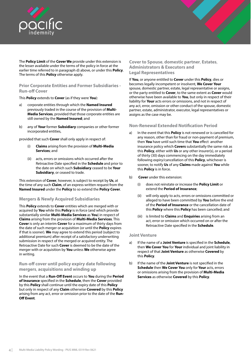<span id="page-6-0"></span>



The **Policy Limit** of the **Cover We** provide under this extension is the lesser available under the terms of the policy in force at the earlier time referred to in paragraph d) above, or under this **Policy**. The terms of this **Policy** otherwise apply.

## **Prior Corporate Entities and Former Subsidiaries - Run-off Cover**

This **Policy** extends to **Cover** (as if they were **You**):

- a) corporate entities through which the **Named Insured** previously traded in the course of the provision of **Multi-Media Services**, provided that those corporate entities are still owned by the **Named Insured**; and
- b) any of **Your** former **Subsidiary** companies or other former incorporated entities,

provided that such **Cover** shall only apply in respect of:

- (i) **Claims** arising from the provision of **Multi-Media Services**; and
- (ii) acts, errors or omissions which occurred after the Retroactive Date specified in the **Schedule** and prior to the date on which such **Subsidiary** ceased to be **Your Subsidiary**, or ceased to trade.

This extension of **Cover**, however, is subject to receipt by **Us**, at the time of any such **Claim**, of an express written request from the **Named Insured** under the **Policy** to so extend the **Policy Cover**.

## **Mergers & Newly Acquired Subsidiaries**

This **Policy** extends to **Cover** entities which are merged with or acquired by **You** while this **Policy** is in force (and which provide substantially similar **Multi-Media Services** as **You**) in respect of **Claims** arising from the provision of **Multi-Media Services**. This **Cover** is only an interim **Cover** for a maximum of thirty days from the date of such merger or acquisition (or until the **Policy** expires if that is sooner). **We** may agree to extend this period (subject to additional premium) after receipt of a satisfactory underwriting submission in respect of the merged or acquired entity. The Retroactive Date for such **Cover** is deemed to be the date of the merger with or acquisition by **You** unless **We** otherwise agree in writing.

## **Run-off cover until policy expiry date following mergers**, **acquisitions and winding up**

In the event that a **Run-Off Event** occurs to **You** during the **Period of Insurance** specified in the **Schedule**, then the **Cover** provided by this **Policy** shall continue until the expiry date of this **Policy** but only in respect of any **Claim** otherwise **Covered** by this **Policy** arising from any act, error or omission prior to the date of the **Run-Off Event**.

## **Cover to Spouse**, **domestic partner**, **Estates**, **Administrators & Executors and Legal Representatives**

If **You**, or anyone entitled to **Cover** under this **Policy**, dies or becomes legally incompetent or insolvent, **We Cover Your**  spouse, domestic partner, estate, legal representative or assigns, or the party entitled to **Cover**, to the same extent as **Cover** would otherwise have been available to **You**, but only in respect of their liability for **Your** acts errors or omissions, and not in respect of any act, error, omission or other conduct of the spouse, domestic partner, estate, administrator, executor, legal representatives or assigns as the case may be.

## **Non-Renewal Extended Notification Period**

- a) In the event that this **Policy** is not renewed or is cancelled for any reason, other than for fraud or non-payment of premium, then **You** have until such time that **You** effect another insurance policy which **Covers** substantially the same risk as this **Policy**, either with **Us** or any other insurer(s), or a period of thirty (30) days commencing on the day immediately following expiry/cancellation of this **Policy**, whichever is sooner, to notify **Us** of any **Claims** made against **You** while this **Policy** is in force.
- b) **Cover** under this extension:
	- (i) does not reinstate or increase the **Policy Limit** or extend the **Period of Insurance**;
	- (ii) will only apply to acts, errors or omissions committed or alleged to have been committed by **You** before the end of the **Period of Insurance** or the cancellation date of this **Policy** where this **Policy** has been cancelled; and
	- is limited to **Claims** and **Enquiries** arising from an act, error or omission which occurred on or after the Retroactive Date specified in the **Schedule**.

## **Joint Venture**

- a) If the name of a **Joint Venture** is specified in the **Schedule**, then **We Cover You** for **Your** individual and joint liability in respect of that **Joint Venture** as otherwise **Covered** by this **Policy**.
- b) If the name of the **Joint Venture** is not specified in the **Schedule** then **We Cover You** only for **Your** acts, errors or omissions arising from the provision of **Multi-Media Services** as otherwise **Covered** by this **Policy**.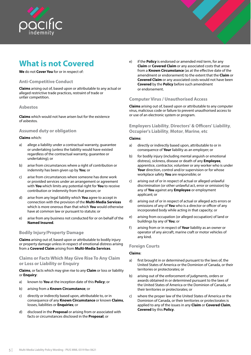<span id="page-7-0"></span>

# **What is not Covered**

**We** do not **Cover You** for or in respect of:

## **Anti-Competitive Conduct**

**Claims** arising out of, based upon or attributable to any actual or alleged restrictive trade practices, restraint of trade or unfair competition.

## **Asbestos**

**Claims** which would not have arisen but for the existence of asbestos.

## **Assumed duty or obligation**

#### **Claims** which:

- a) allege a liability under a contractual warranty, guarantee or undertaking (unless the liability would have existed regardless of the contractual warranty, guarantee or undertaking); or
- b) arise from circumstances where a right of contribution or indemnity has been given up by **You**; or
- c) arise from circumstances where someone has done work or provided services under an arrangement or agreement with **You** which limits any potential right for **You** to receive contribution or indemnity from that person; or
- d) arise from any legal liability which **You** agree to accept in connection with the provision of the **Multi-Media Services** which is more onerous than that which **You** would otherwise have at common law or pursuant to statute; or
- e) arise from any business not conducted for or on behalf of the **Named Insured**.

## **Bodily Injury/Property Damage**

**Claims** arising out of, based upon or attributable to bodily injury or property damage unless in respect of emotional distress arising from a **Covered Claim** arising from **Multi-Media Services**.

## **Claims or Facts Which May Give Rise To Any Claim or Loss or Liability or Enquiry**

**Claims**, or facts which may give rise to any **Claim** or loss or liability or **Enquiry**:

- a) known to **You** at the inception date of this **Policy**; or
- b) arising from a **Known Circumstance**; or
- c) directly or indirectly based upon, attributable to, or in consequence of any **Known Circumstance** or known **Claims**, losses, liabilities or **Enquiries**; or
- d) disclosed in the **Proposal** or arising from or associated with facts or circumstances disclosed in the **Proposal**; or

e) if the **Policy** is endorsed or amended mid term, for any **Claim** or **Covered Claim** or any associated costs that arose from a **Known Circumstance** (as at the effective date of the amendment or endorsement) to the extent that the **Claim** or **Covered Claim** or any associated costs would not have been **Covered** by the **Policy** before such amendment or endorsement.

## **Computer Virus / Unauthorised Access**

**Claims** arising out of, based upon or attributable to any computer virus, malicious code or failure to prevent unauthorised access to or use of an electronic system or program.

**Employers Liability**, **Directors' & Officers' Liability**, **Occupier's Liability**, **Motor**, **Marine**, **etc**

## **Claims**:

- a) directly or indirectly based upon, attributable to or in consequence of **Your** liability as an employer; or
- b) for bodily injury (including mental anguish or emotional distress), sickness, disease or death of any **Employee**, apprentice, contractor, volunteer or any worker who is under Your direction, control and/or supervision or for whose workplace safety **You** are responsible; or
- c) arising out of or in respect of actual or alleged unlawful discrimination (or other unlawful act, error or omission) by any of **You** against any **Employee** or employment applicant; or
- d) arising out of or in respect of actual or alleged acts errors or omissions of any of **You** who is a director or officer of any incorporated body while acting in that capacity; or
- e) arising from occupation (or alleged occupation) of land or buildings by any of **You**; or
- f) arising from or in respect of **Your** liability as an owner or operator of any aircraft, marine craft or motor vehicles of any kind.

## **Foreign Courts**

## **Claims**:

- a) first brought in or determined pursuant to the laws of, the United States of America or the Dominion of Canada, or their territories or protectorates; or
- b) arising out of the enforcement of judgments, orders or awards obtained in or determined pursuant to the laws of the United States of America or the Dominion of Canada, or their territories or protectorates; or
- c) where the proper law of the United States of America or the Dominion of Canada, or their territories or protectorates is applied to any of the issues in any **Claim** or **Covered Claim**, **Covered** by this **Policy**.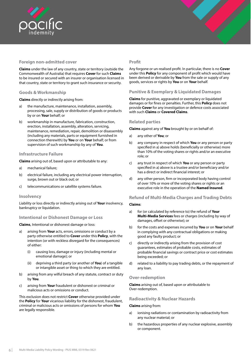<span id="page-8-0"></span>

## **Foreign non-admitted cover**

**Claims** under the law of any country, state or territory (outside the Commonwealth of Australia) that requires **Cover** for such **Claims** to be insured or secured with an insurer or organisation licensed in that country, state or territory to grant such insurance or security.

## **Goods & Workmanship**

**Claims** directly or indirectly arising from:

- a) the manufacture, maintenance, installation, assembly, processing, sale, supply or distribution of goods or products by or on **Your** behalf; or
- b) workmanship in manufacture, fabrication, construction, erection, installation, assembly, alteration, servicing, maintenance, remediation, repair, demolition or disassembly (including any materials, parts or equipment furnished in connection therewith) by **You** or on **Your** behalf; or from supervision of such workmanship by any of **You**.

## **Infrastructure Failure**

**Claims** arising out of, based upon or attributable to any:

- a) mechanical failure;
- b) electrical failure, including any electrical power interruption, surge, brown out or black out; or
- c) telecommunications or satellite systems failure.

## **Insolvency**

Liability or loss directly or indirectly arising out of **Your** insolvency, bankruptcy or liquidation.

## **Intentional or Dishonest Damage or Loss**

**Claims**, Intentional or dishonest damage or loss:

- a) arising from **Your** acts, errors, omissions or conduct by a party otherwise entitled to **Cover** under this **Policy**, with the intention (or with reckless disregard for the consequences) of either:
	- (i) causing loss, damage or injury (including mental or emotional damage); or
	- (ii) depriving a third party (or another of **You**) of a tangible or intangible asset or thing to which they are entitled.
- b) arising from any wilful breach of any statute, contract or duty by **You**.
- c) arising from **Your** fraudulent or dishonest or criminal or malicious acts or omissions or conduct.

This exclusion does not restrict **Cover** otherwise provided under the **Policy** for **Your** vicarious liability for the dishonest, fraudulent, criminal or malicious acts or omissions of persons for whom **You** are legally responsible.

## **Profit**

Any forgone or un-realised profit. In particular, there is no **Cover** under this **Policy** for any component of profit which would have been derived or derivable by **You** from the sale or supply of any goods, services or rights by **You** or on **Your** behalf.

## **Punitive & Exemplary & Liquidated Damages**

**Claims** for punitive, aggravated or exemplary or liquidated damages or for fines or penalties. Further, this **Policy** does not provide **Cover** for any investigation or defence costs associated with such **Claims** or **Covered Claims**.

#### **Related parties**

**Claims** against any of **You** brought by or on behalf of:

- a) any other of **You**; or
- b) any company in respect of which **You** or any person or party specified in a) above holds (beneficially or otherwise) more than 10% of the voting shares or rights and/or an executive role; or
- c) any trust in respect of which **You** or any person or party specified in a) above is a trustee and/or beneficiary and/or has a direct or indirect financial interest; or
- d) any other person, firm or incorporated body having control of over 10% or more of the voting shares or rights or an executive role in the operation of the **Named Insured**.

## **Refund of Multi-Media Charges and Trading Debts**

#### **Claims**:

- a) for (or calculated by reference to) the refund of **Your Multi-Media Services** fees or charges (including by way of damages, offset or otherwise); or
- b) for the costs and expenses incurred by **You** or on **Your** behalf in complying with any contractual obligations or making good any faulty product; or
- c) directly or indirectly arising from the provision of cost guarantees, estimates of probable costs, estimates of probable financial savings or contract price or cost estimates being exceeded; or
- d) related to a liability to pay trading debts, or the repayment of any loan.

## **Over-redemption**

**Claims** arising out of, based upon or attributable to Over-redemption.

## **Radioactivity & Nuclear Hazards**

#### **Claims** arising from:

- a) ionising radiations or contamination by radioactivity from any nuclear material; or
- b) the hazardous properties of any nuclear explosive, assembly or component.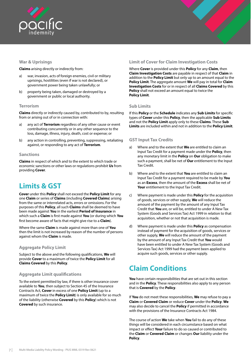<span id="page-9-0"></span>

## **War & Uprisings**

**Claims** arising directly or indirectly from:

- a) war, invasion, acts of foreign enemies, civil or military uprisings, hostilities (even if war is not declared), or government power being taken unlawfully; or
- b) property being taken, damaged or destroyed by a government or public or local authority.

## **Terrorism**

**Claims** directly or indirectly caused by, contributed to by, resulting from or arising out of or in connection with:

- a) any act of **Terrorism** regardless of any other cause or event contributing concurrently or in any other sequence to the loss, damage, illness, injury, death, cost or expense; or
- b) any action in controlling, preventing, suppressing, retaliating against, or responding to any act of **Terrorism**.

#### **Sanctions**

**Claims** in respect of which and to the extent to which trade or economic sanctions or other laws or regulations prohibit **Us** from providing **Cover**.

## **Limits & GST**

**Cover** under this **Policy** shall not exceed the **Policy Limit** for any one **Claim** or series of **Claims** (including **Covered Claims**) arising from the same or interrelated acts, errors or omissions. For the purposes of this **Policy**, all such **Claims** shall be deemed to have been made against **You** in the earliest **Period of Insurance** in which such a **Claim** is first made against **You** (or during which **You** first become aware of facts that might give rise to a **Claim**).

Where the same **Claim** is made against more than one of **You** then the limit is not increased by reason of the number of persons against whom the **Claim** is made.

## **Aggregate Policy Limit**

Subject to the above and the following qualifications, **We** will provide **Cover** to a maximum of twice the **Policy Limit** for all **Claims Covered** by this **Policy**.

## **Aggregate Limit qualifications**

To the extent permitted by law, if there is other insurance cover available to **You**, then subject to Section 45 of the Insurance Contracts Act, **Cover** in excess of one **Policy Limit** (up to a maximum of twice the **Policy Limit**) is only available for so much of the liability (otherwise **Covered** by this **Policy**) which is not **Covered** by such insurance.

## **Limit of Cover for Claim Investigation Costs**

Where **Cover** is provided under this **Policy** for any **Claim**, then **Claim Investigation Costs** are payable in respect of that **Claim** in addition to the **Policy Limit** but only up to an amount equal to the **Policy Limit**. The aggregate amount **We** will pay in total for **Claim Investigation Costs** for or in respect of all **Claims Covered** by this **Policy** shall not exceed an amount equal to twice the **Policy Limit**.

## **Sub Limits**

If this **Policy** or the **Schedule** indicates any **Sub Limits** for specific types of **Cover** under this **Policy**, then the applicable **Sub Limits**  and not the **Policy Limit** apply only to these **Claims**. These **Sub Limits** are included within and not in addition to the **Policy Limit**.

## **GST Input Tax Credits**

- a) Where and to the extent that **We** are entitled to claim an Input Tax Credit for a payment made under the **Policy**, then any monetary limit in the **Policy** on **Our** obligation to make such a payment, shall be net of **Our** entitlement to the Input Tax Credit.
- b) Where and to the extent that **You** are entitled to claim an Input Tax Credit for a payment required to be made by **You**  as an **Excess**, then the amount of the **Excess** shall be net of **Your** entitlement to the Input Tax Credit.
- c) Where payment is made under this **Policy** for the acquisition of goods, services or other supply, **We** will reduce the amount of the payment by the amount of any Input Tax Credit that **You** are, or will be, entitled to under A New Tax System (Goods and Services Tax) Act 1999 in relation to that acquisition, whether or not that acquisition is made.
- d) Where payment is made under this **Policy** as compensation instead of payment for the acquisition of goods, services or other supply, **We** will reduce the amount of the payment by the amount of any Input Tax Credit that **You** would have been entitled to under A New Tax System (Goods and Services Tax) Act 1999 had the payment been applied to acquire such goods, services or other supply.

## **Claim Conditions**

**You** have certain responsibilities that are set out in this section and in the **Policy**. These responsibilities also apply to any person that is **Covered** by the **Policy**.

If **You** do not meet these responsibilities, **We** may refuse to pay a **Claim** or **Covered Claim** or reduce **Cover** under the **Policy**. **We** may also decide to cancel the **Policy** if permitted in accordance with the provisions of the Insurance Contracts Act 1984.

The course of action **We** take when **You** fail to do any of these things will be considered in each circumstance based on what impact or effect **Your** failure to do so caused or contributed to the **Claim** or **Covered Claim** or changes **Our** liability under the **Policy**.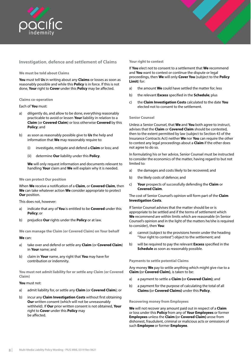<span id="page-10-0"></span>

## **Investigation**, **defence and settlement of Claims**

#### **We must be told about Claims**

**You** must tell **Us** in writing about any **Claims** or losses as soon as reasonably possible and while this **Policy** is in force. If this is not done, **Your** right to **Cover** under this **Policy** may be affected.

#### **Claims co-operation**

#### Each of **You** must:

- a) diligently do, and allow to be done, everything reasonably practicable to avoid or lessen **Your** liability in relation to a **Claim** (or **Covered Claim**) or loss otherwise **Covered** by this **Policy**; and
- b) as soon as reasonably possible give to **Us** the help and information that **We** may reasonably require to:
	- (i) investigate, mitigate and defend a **Claim** or loss; and
	- (ii) determine **Our** liability under this **Policy**.

**We** will only request information and documents relevant to handling **Your** claim and **We** will explain why it is needed.

#### **We can protect Our position**

When **We** receive a notification of a **Claim**, or **Covered Claim**, then **We** can take whatever action **We** consider appropriate to protect **Our** position.

This does not, however:

- a) indicate that any of **You** is entitled to be **Covered** under this **Policy**; or
- b) prejudice **Our** rights under the **Policy** or at law.

**We can manage the Claim (or Covered Claim) on Your behalf**

#### **We** can:

- a) take over and defend or settle any **Claim** (or **Covered Claim**) in **Your** name; and
- b) claim in **Your** name, any right that **You** may have for contribution or indemnity.

**You must not admit liability for or settle any Claim (or Covered Claim)**

#### **You** must not:

- a) admit liability for, or settle any **Claim** (or **Covered Claim**); or
- b) incur any **Claim Investigation Costs** without first obtaining **Our** written consent (which will not be unreasonably withheld). If **Our** prior written consent is not obtained, **Your**  right to **Cover** under this **Policy** may be affected.

#### **Your right to contest**

If **You** elect not to consent to a settlement that **We** recommend and **You** want to contest or continue the dispute or legal proceedings, then **We** will only **Cover You** (subject to the **Policy Limit**) for:

- a) the amount **We** could have settled the matter for; less
- b) the relevant **Excess** specified in the **Schedule**; plus
- c) the **Claim Investigation Costs** calculated to the date **You**  elected not to consent to the settlement.

#### **Senior Counsel**

Unless a Senior Counsel, that **We** and **You** both agree to instruct, advises that the **Claim** or **Covered Claim** should be contested, then to the extent permitted by law (subject to Section 43 of the Insurance Contracts Act) neither **We** nor **You** can require the other to contest any legal proceedings about a **Claim** if the other does not agree to do so.

In formulating his or her advice, Senior Counsel must be instructed to consider the economics of the matter, having regard to but not limited to:

- a) the damages and costs likely to be recovered; and
- b) the likely costs of defence; and
- c) **Your** prospects of successfully defending the **Claim** or **Covered Claim**.

The cost of Senior Counsel's opinion will form part of the **Claim Investigation Costs**.

If Senior Counsel advises that the matter should be or is appropriate to be settled and if the terms of settlement which **We** recommend are within limits which are reasonable (in Senior Counsel's opinion and in the light of the matters he/she is required to consider), then **You**:

- a) cannot (subject to the provisions herein under the heading "Your right to contest") object to the settlement; and
- b) will be required to pay the relevant **Excess** specified in the **Schedule** as soon as reasonably possible.

#### **Payments to settle potential Claims**

Any money **We** pay to settle anything which might give rise to a **Claim (**or **Covered Claim)**, is taken to be:

- a) a payment to settle a **Claim (**or **Covered Claim)**; and
- b) a payment for the purpose of calculating the total of all **Claims (**or **Covered Claims)** under this **Policy**.

#### **Recovering money from Employees**

**We** will not recover any amount paid out in respect of a **Claim**  or loss under this **Policy** from any of **Your Employees** or former **Employees** unless the **Claim (**or **Covered Claim)** arose from dishonest, fraudulent, criminal or malicious acts or omissions of such **Employee** or former **Employee**.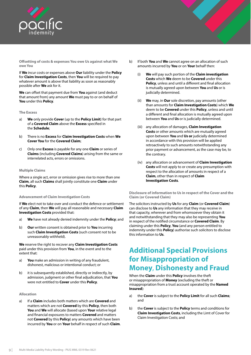<span id="page-11-0"></span>

**Offsetting of costs & expenses You owe Us against what We owe You**

If **We** incur costs or expenses above **Our** liability under the **Policy**  for **Claim Investigation Costs**, then **You** will be required to pay whatever amount is above that liability as soon as reasonably possible after **We** ask for it.

**We** can offset that payment due from **You** against (and deduct that amount from) any amount **We** must pay to or on behalf of **You** under this **Policy**.

**The Excess**

- a) **We** only provide **Cover** (up to the **Policy Limit**) for that part of a **Covered Claim** above the **Excess** specified in the **Schedule**;
- b) There is no **Excess** for **Claim Investigation Costs** when **We Cover You** for the **Covered Claim**;
- c) Only one **Excess** is payable for any one **Claim** or series of **Claims** (including **Covered Claims**) arising from the same or interrelated acts, errors or omissions.

#### **Multiple Claims**

Where a single act, error or omission gives rise to more than one **Claim**, all such **Claims** shall jointly constitute one **Claim** under this **Policy**.

#### **Advancement of Claim Investigation Costs**

If **We** elect not to take over and conduct the defence or settlement of any **Claim**, then **We** will pay all reasonable and necessary **Claim Investigation Costs** provided that:

- a) **We** have not already denied indemnity under the **Policy**; and
- b) **Our** written consent is obtained prior to **You** incurring such **Claim Investigation Costs** (such consent not to be unreasonably withheld).

**We** reserve the right to recover any **Claim Investigation Costs**  paid under this provision from **You**, in the event and to the extent that:

- a) **You** make an admission in writing of any fraudulent, dishonest, malicious or intentional conduct; or
- b) it is subsequently established, directly or indirectly, by admission, judgment or other final adjudication, that **You**  were not entitled to **Cover** under this **Policy**.

#### **Allocation**

a) If a **Claim** includes both matters which are **Covered** and matters which are not **Covered** by this **Policy**, then both **You** and **We** will allocate (based upon **Your** relative legal and financial exposures to matters **Covered** and matters not **Covered** by this **Policy**) any amounts which have been incurred by **You** or on **Your** behalf in respect of such **Claim**.

- b) If both **You** and **We** cannot agree on an allocation of such amounts incurred by **You** or on **Your** behalf then:
	- (i) **We** will pay such portion of the **Claim investigation Costs** which **We** deem to be **Covered** under this **Policy**, unless and until a different and final allocation is mutually agreed upon between **You** and **Us** or is judicially determined.
	- We may, in **Our** sole discretion, pay amounts (other than amounts for **Claim Investigation Costs**) which **We** deem to be **Covered** under this **Policy**, unless and until a different and final allocation is mutually agreed upon between **You** and **Us** or is judicially determined.
	- (iii) any allocation of damages, **Claim Investigation Costs** or other amounts which are mutually agreed upon between **You** and **Us or** judicially determined in accordance with this provision will be applied retroactively to such amounts notwithstanding any prior payment or advancement, as the case may be, to the contrary.
	- (iv) any allocation or advancement of **Claim Investigation Costs** will not apply to or create any presumption with respect to the allocation of amounts in respect of a **Claim**, other than in respect of **Claim Investigation Costs**.

**Disclosure of information to Us in respect of the Cover and the Claim (or Covered Claim)**

The solicitors instructed by **Us** for any **Claim** (or **Covered Claim**) can disclose to **Us** any information that they may receive in that capacity, wherever and from whomsoever they obtain it and notwithstanding that they may also be representing **You** in respect of the notified circumstance or **Covered Claim**. By claiming under this **Policy**, **You** (and any person entitled to indemnity under this **Policy**) authorise such solicitors to disclose this information to **Us**.

## **Additional Special Provisions for Misappropriation of Money**, **Dishonesty and Fraud**

When the **Claim** under this **Policy** involves the theft or misappropriation of **Money** (excluding the theft or misappropriation from a trust account operated by the **Named Insured**):

- a) the **Cover** is subject to the **Policy Limit** for all such **Claims**; and
- b) the **Cover** is subject to the **Policy** terms and conditions for **Claim Investigation Costs**, including the Limt of Cover for Claim Investigation Costs; and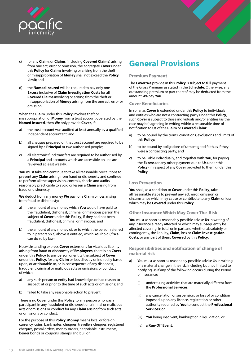<span id="page-12-0"></span>



- c) for any **Claim**, or **Claims** (including **Covered Claims**) arising from one act, error or omission, the aggregate **Cover** under this **Policy** for **Claims** involving or arising from the theft or misappropriation of **Money** shall not exceed the **Policy Limit**; and
- d) the **Named Insured** will be required to pay only one **Excess** inclusive of **Claim Investigation Costs** for all **Covered Claims** involving or arising from the theft or misappropriation of **Money** arising from the one act, error or omission.

When the **Claim** under this **Policy** involves theft or misappropriation of **Money** from a trust account operated by the **Named Insured**, then **We** only provide **Cover**, if:

- a) the trust account was audited at least annually by a qualified independent accountant; and
- b) all cheques prepared on that trust account are required to be signed by a **Principal** or two authorised people;
- c) all electronic fund transfers are required to be authorised by a **Principal** and accounts which are accessible on line are reviewed at least weekly.

**You** must take and continue to take all reasonable precautions to prevent any **Claim** arising from fraud or dishonesty and continue to perform all the supervision, controls, checks and audits reasonably practicable to avoid or lessen a **Claim** arising from fraud or dishonesty.

**We** deduct from any money **We** pay for a **Claim** or loss arising from fraud or dishonesty:

- a) the amount of any money which **You** would have paid to the fraudulent, dishonest, criminal or malicious person the subject of **Cover** under this **Policy**, if they had not been fraudulent, dishonest, criminal or malicious; and
- b) the amount of any money of, or to which the person referred to in paragraph a) above is entitled, which **You** hold (if **We**  can do so by law).

Notwithstanding express **Cover** extensions for vicarious liability arising from fraud or dishonesty of **Employees**, there is no **Cover**  under this **Policy** to any person or entity the subject of **Cover** under this **Policy**, for any **Claim** or loss directly or indirectly based upon, or attributable to, or in consequence of any dishonest, fraudulent, criminal or malicious acts or omissions or conduct of which:

- a) any such person or entity had knowledge, or had reason to suspect, at or prior to the time of such acts or omissions; and
- b) failed to take any reasonable action to prevent.

There is no **Cover** under this **Policy** to any person who was a participant in any fraudulent or dishonest or criminal or malicious acts or omissions or conduct for any **Claim** arising from such acts or omissions or conduct.

For the purpose of this **Policy**, **Money** means local or foreign currency, coins, bank notes, cheques, travellers cheques, registered cheques, postal orders, money orders, negotiable instruments, bearer bonds or coupons, stamps and bullion.

# **General Provisions**

## **Premium Payment**

The **Cover We** provide in this **Policy** is subject to full payment of the Gross Premium as stated in the **Schedule**. Otherwise, any outstanding premium or part thereof may be deducted from the amount **We** pay **You**.

#### **Cover Beneficiaries**

In so far as **Cover** is extended under this **Policy** to individuals and entities who are not a contracting party under this **Policy**, such **Cover** is subject to those individuals and/or entities (as the case may be) agreeing in writing within a reasonable time of notification to **Us** of the **Claim** or **Covered Claim**:

- a) to be bound by the terms, conditions, exclusions and limits of this **Policy**;
- b) to be bound by obligations of utmost good faith as if they were a contracting party; and
- c) to be liable individually, and together with **You**, for paying the **Excess** (or any other payment due to **Us** under this **Policy**) in respect of any **Cover** provided to them under this **Policy**.

## **Loss Prevention**

**You** shall, as a condition to **Cover** under this **Policy**, take all reasonable steps to prevent any act, error, omission or circumstance which may cause or contribute to any **Claim** or loss which may be **Covered** under this **Policy**.

#### **Other Insurance Which May Cover The Risk**

**You** must as soon as reasonably possible advise **Us** in writing of any insurance already affected or which may subsequently be affected covering, in total or in part and whether absolutely or contingently, the liability, **Claim**, loss or **Claim Investigation Costs**, or any part of them, **Covered** by this **Policy**.

## **Responsibilities and notification of change of material risk**

- a) You must as soon as reasonably possible advise Us in writing of a material change in the risk, including but not limited to notifying Us if any of the following occurs during the Period of Insurance:
	- (i) undertaking activities that are materially different from the **Professional Services**;
	- (ii) any cancellation or suspension, or loss of or condition imposed, upon any licence, registration or other authority required by **You** to conduct the **Professional Services**; or
	- (iii) **You** being insolvent, bankrupt or in liquidation; or
	- (iv) a **Run-Off Event**.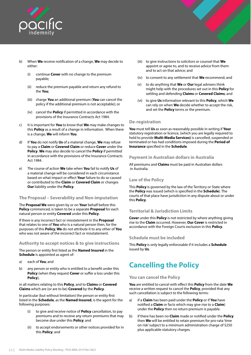<span id="page-13-0"></span>

- b) When **We** receive notification of a change, **We** may decide to either:
	- (i) continue **Cover** with no change to the premium payable;
	- (ii) reduce the premium payable and return any refund to the **You**;
	- (iii) charge **You** an additional premium (**You** can cancel the policy if the additional premium is not acceptable); or
	- (iv) cancel the **Policy** if permitted in accordance with the provisions of the Insurance Contracts Act 1984.
- c) It is important for **You** to know that **We** may make changes to this **Policy** as a result of a change in information. When there is a change, **We** will inform **You**.
- d) If **You** do not notify **Us** of a material change, **We** may refuse to pay a **Claim** or **Covered Claim** or reduce **Cover** under the **Policy**. **We** may also decide to cancel the **Policy** if permitted in accordance with the provisions of the Insurance Contracts Act 1984.
- e) The course of action **We** take when **You** fail to notify **Us** of a material change will be considered in each circumstance based on what impact or effect **Your** failure to do so caused or contributed to the **Claim** or **Covered Claim** or changes **Our** liability under the **Policy**.

## **The Proposal – Severability and Non-imputation**

The **Proposal We** were given by or on **Your** behalf before this **Policy** commenced, is taken to be a separate **Proposal** for each natural person or entity **Covered** under this **Policy**.

If there is any incorrect fact or misstatement in the **Proposal**  that relates to one of **You** who is a natural person then, for the purposes of this **Policy**, **We** do not attribute it to any other of **You** who was not aware of the incorrect fact or misstatement.

#### **Authority to accept notices & to give instructions**

The person or entity first listed as the **Named Insured** in the **Schedule** is appointed as agent of:

- a) each of **You**; and
- b) any person or entity who is entitled to a benefit under this **Policy** (when they request **Cover** or suffer a loss under this **Policy**),

in all matters relating to this **Policy**, and to **Claims** or **Covered Claims** which are (or are to be) **Covered** by the **Policy**.

In particular (but without limitation) the person or entity first listed in the **Schedule**, as the **Named Insured**, is the agent for the following purposes:

- (i) to give and receive notice of **Policy** cancellation, to pay premiums and to receive any return premiums that may become due under this **Policy**; and
- (ii) to accept endorsements or other notices provided for in this **Policy**; and
- (iii) to give instructions to solicitors or counsel that **We**  appoint or agree to, and to receive advice from them and to act on that advice; and
- (iv) to consent to any settlement that **We** recommend; and
- (v) to do anything that **We** or **Our** legal advisers think might help with the procedures set out in this **Policy** for settling and defending **Claims** or **Covered Claims**; and
- (vi) to give **Us** information relevant to this **Policy**, which **We**  can rely on when **We** decide whether to accept the risk, and set the **Policy** terms or the premium.

## **De-registration**

**You** must tell **Us** as soon as reasonably possible in writing if **Your** statutory registration or licence, (which you are legally required to hold to provide **Multi-Media Services)** is cancelled, suspended or terminated or has had conditions imposed during the **Period of Insurance** specified in the **Schedule**.

## **Payment in Australian dollars in Australia**

All premiums and **Claims** must be paid in Australian dollars in Australia.

## **Law of the Policy**

This **Policy** is governed by the law of the Territory or State where the **Policy** was issued (which is specified in the **Schedule**). The courts of that place have jurisdiction in any dispute about or under this **Policy**.

## **Territorial & Jurisdiction Limits**

**Cover** under this **Policy** is not restricted by where anything giving rise to the **Claim** occurred. However, **Our Cover** is restricted in accordance with the Foreign Courts exclusion in this **Policy**.

## **Schedule must be included**

This **Policy** is only legally enforceable if it includes a **Schedule** issued by **Us**.

# **Cancelling the Policy**

## **You can cancel the Policy**

**You** are entitled to cancel with effect this **Policy** from the date **We**  receive a written request to cancel the **Policy**, provided that any such cancellation is subject to the following terms:

- a) if a **Claim** has been paid under the **Policy** or if **You** have notified a **Claim** or facts which may give rise to a **Claim**) under the **Policy** then no return premium is payable.
- b) if there has been no **Claim** made or notified under the **Policy** then **We** will be entitled to retain premium for pro-rata 'time on risk' subject to a minimum administration charge of \$250 plus applicable statutory charges.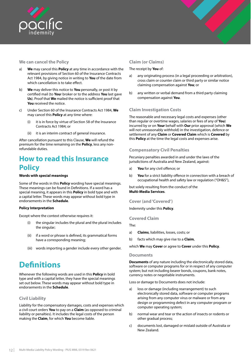<span id="page-14-0"></span>

## **We can cancel the Policy**

- a) **We** may cancel this **Policy** at any time in accordance with the relevant provisions of Section 60 of the Insurance Contracts Act 1984, by giving notice in writing to **You** of the date from which cancellation is to take effect.
- b) **We** may deliver this notice to **You** personally, or post it by certified mail (to **You**r broker or to the address **You** last gave **Us**). Proof that **We** mailed the notice is sufficient proof that **You** received the notice.
- c) Under Section 60 of the Insurance Contracts Act 1984, **We**  may cancel this **Policy** at any time where:
	- (i) it is in force by virtue of Section 58 of the Insurance Contracts Act 1984; or
	- (ii) it is an interim contract of general insurance.

After cancellation pursuant to this Clause, **We** will refund the premium for the time remaining on the **Policy**, less any nonrefundable duties.

## **How to read this Insurance Policy**

#### **Words with special meanings**

Some of the words in this **Policy** wording have special meanings. These meanings can be found in Definitions. If a word has a special meaning, it appears in this **Policy** in bold type and with a capital letter. These words may appear without bold type in endorsements in the **Schedule**.

#### **Policy Interpretation**

Except where the context otherwise requires it:

- (i) the singular includes the plural and the plural includes the singular:
- (ii) if a word or phrase is defined, its grammatical forms have a corresponding meaning;
- (iii) words importing a gender include every other gender.

# **Definitions**

Whenever the following words are used in this **Policy** in bold type and with a capital letter, they have the special meanings set out below. These words may appear without bold type in endorsements in the **Schedule**.

## **Civil Liability**

Liability for the compensatory damages, costs and expenses which a civil court orders **You** to pay on a **Claim** (as opposed to criminal liability or penalties). It includes the legal costs of the person making the **Claim**, for which **You** become liable.

## **Claim (or Claims)**

#### The receipt by **You** of:

- a) any originating process (in a legal proceeding or arbitration), cross claim or counter claim or third party or similar notice claiming compensation against **You**; or
- b) any written or verbal demand from a third party claiming compensation against **You**.

## **Claim Investigation Costs**

The reasonable and necessary legal costs and expenses (other than regular or overtime wages, salaries or fees of any of **You**) incurred by or on **Your** behalf with **Our** prior approval (which **We** will not unreasonably withhold) in the investigation, defence or settlement of any **Claim** or **Covered Claim** which is **Covered** by this **Policy** at the time the legal costs and expenses arise.

## **Compensatory Civil Penalties**

Pecuniary penalties awarded in and under the laws of the jurisdictions of Australia and New Zealand, against:

- a) **You** for any civil offence; or
- b) **You** for a strict liability offence in connection with a breach of occupational health and safety law or regulation ("OH&S"),

but solely resulting from the conduct of the **Multi-Media Services**.

#### **Cover (and 'Covered')**

Indemnity under this **Policy**.

#### **Covered Claim**

The:

- a) **Claims**, liabilities, losses, costs; or
- b) facts which may give rise to a **Claim**,

which **We** may **Cover** or agree to **Cover** under this **Policy**.

#### **Documents**

**Documents** of any nature including the electronically stored data, software or computer programs for or in respect of any computer system; but not including bearer bonds, coupons, bank notes, currency notes or negotiable instruments.

Loss or damage to Documents does not include:

- a) loss or damage (including rearrangement) to such electronically stored data, software or computer programs arising from any computer virus or malware or from any design or programming defect in any computer program or computer operating system;
- b) normal wear and tear or the action of insects or rodents or other gradual process;
- c) documents lost, damaged or mislaid outside of Australia or New Zealand.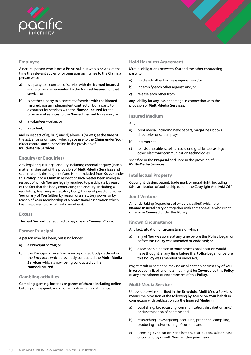<span id="page-15-0"></span>

## **Employee**

A natural person who is not a **Principal**, but who is or was, at the time the relevant act, error or omission giving rise to the **Claim**, a person who:

- a) is a party to a contract of service with the **Named Insured**  and is or was remunerated by the **Named Insured** for that service; or
- b) is neither a party to a contract of service with the **Named Insured**, nor an independent contractor, but a party to a contract for services with the **Named Insured** for the provision of services to the **Named Insured** for reward; or
- c) a volunteer worker; or
- d) a student,

and in respect of a), b), c) and d) above is (or was) at the time of the act, error or omission which gave rise to the **Claim** under **Your**  direct control and supervision in the provision of **Multi-Media Services**.

## **Enquiry (or Enquiries)**

Any legal or quasi legal enquiry including coronial enquiry (into a matter arising out of the provision of **Multi-Media Services** and such matter is the subject of and is not excluded from **Cover** under this **Policy**, had a **Claim** in respect of such matter been made) in respect of which **You** are legally required to participate by reason of the fact that the body conducting the enquiry (including a regulatory, licensing or statutory body) has legal jurisdiction over **You** or any of **You** (either by reason of a statutory power or by reason of **Your** membership of a professional association which has the power to discipline its members).

#### **Excess**

The part **You** will be required to pay of each **Covered Claim**.

## **Former Principal**

A person who has been, but is no longer:

- a) a **Principal** of **You**; or
- b) the **Principal** of any firm or incorporated body declared in the **Proposal**, which previously conducted the **Multi-Media Services** which is now being conducted by the **Named Insured**.

## **Gambling activities**

Gambling, gaming, lotteries or games of chance including online betting, online gambling or other online games of chance.

## **Hold Harmless Agreement**

Mutual obligations between **You** and the other contracting party to:

- a) hold each other harmless against; and/or
- b) indemnify each other against; and/or
- c) release each other from,

any liability for any loss or damage in connection with the provision of **Multi-Media Services**.

#### **Insured Medium**

#### Any:

- a) print media, including newspapers, magazines, books, directories or screen plays;
- b) internet site;
- c) television, cable, satellite, radio or digital broadcasting; or other electronic communication technologies,

specified in the **Proposal** and used in the provision of **Multi-Media Services**.

## **Intellectual Property**

Copyright, design, patent, trade mark or moral right, including false attribution of authorship (under the Copyright Act 1968 Cth).

#### **Joint Venture**

An undertaking (regardless of what it is called) which the **Named Insured** carry on together with someone else who is not otherwise **Covered** under this **Policy**.

#### **Known Circumstance**

Any fact, situation or circumstance of which:

- a) any of **You** was aware at any time before this **Policy** began or before this **Policy** was amended or endorsed; or
- b) a reasonable person in **Your** professional position would have thought, at any time before this **Policy** began or before this **Policy** was amended or endorsed,

might result in someone making an allegation against any of **You**  in respect of a liability or loss that might be **Covered** by this **Policy**  or any amendment or endorsement of this **Policy**.

#### **Multi-Media Services**

Unless otherwise specified in the **Schedule**, Multi-Media Services means the provision of the following by **You** or on **Your** behalf in connection with publication via the **Insured Medium**:

- a) publishing, broadcasting, communication, distribution and/ or dissemination of content; and
- b) researching, investigating, acquiring, preparing, compiling, producing and/or editing of content; and
- c) licensing, syndication, serialisation, distribution, sale or lease of content, by or with **Your** written permission.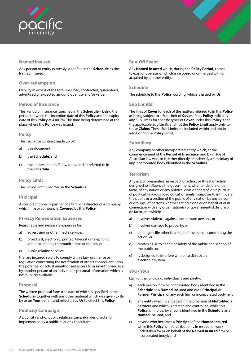<span id="page-16-0"></span>

## **Named Insured**

Any person or entity expressly identified in the **Schedule** as the Named Insured.

## **Over-redemption**

Liability in excess of the total specified, contracted, guaranteed, advertised or expected amount, quantity and/or value.

## **Period of Insurance**

The 'Period of Insurance' specified in the **Schedule** – being the period between the inception date of this **Policy** and the expiry date of this **Policy** at 4.00 PM. The time being determined at the place where the **Policy** was issued.

## **Policy**

The insurance contract made up of:

- a) this document;
- b) the **Schedule**; and
- c) the endorsements, if any, contained or referred to in the **Schedule**.

## **Policy Limit**

The 'Policy Limit' specified in the **Schedule**.

## **Principal**

A sole practitioner, a partner of a firm, or a director of a company, which firm or company is **Covered** by this **Policy**.

## **Privacy Remediation Expenses**

Reasonable and necessary expenses for:

- a) advertising or other media services;
- b) broadcast, electronic, printed, telecast or telephonic announcements, communications or notices; or
- c) public relation services,

that are incurred solely to comply with a law, ordinance or regulation concerning the notification of others consequent upon the potential or actual unauthorised access to or unauthorised use by another person of an individual's personal information which is not publicly available.

## **Proposal**

The written proposal form (the date of which is specified in the **Schedule**) together with any other material which was given to **Us** by or on **Your** behalf, and relied on by **Us** to effect this **Policy**.

## **Publicity Campaign**

A publicity and/or public relations campaign designed and implemented by a public relations consultant.

## **Run-Off Event**

Any **Named Insured** which, during the **Policy Period**, ceases to exist or operate, or which is disposed of or merged with or acquired by another entity.

## **Schedule**

The schedule to this **Policy** wording, which is issued by **Us**.

## **Sub Limit(s)**

The limit of **Cover** for each of the matters referred to in this **Policy** as being subject to a Sub Limit of **Cover**. If this **Policy** indicates any Sub Limits for specific types of **Cover** under this **Policy**, then the applicable Sub Limits and not the **Policy Limit** apply only to these **Claims**. These Sub Limits are included within and not in addition to the **Policy Limit**.

## **Subsidiary**

Any company or other incorporated entity which, at the commencement of the **Period of Insurance**, and by virtue of Australian law was, or is, either directly or indirectly a subsidiary of any incorporated body identified in the **Schedule**.

## **Terrorism**

Any act, or preparation in respect of action, or threat of action designed to influence the government, whether de jure or de facto, of any nation or any political division thereof, or in pursuit of political, religious, ideological, or similar purposes to intimidate the public or a section of the public of any nation by any person or group(s) of persons whether acting alone or on behalf of or in connection with any organisation(s) or government(s) de jure or de facto, and which:

- a) involves violence against one or more persons; or
- b) involves damage to property; or
- c) endangers life other than that of the person committing the action; or
- d) creates a risk to health or safety of the public or a section of the public; or
- e) is designed to interfere with or to disrupt an electronic system.

#### **You / Your**

Each of the following, individually and jointly:

- a) each person, firm or incorporated body identified in the **Schedule** as a **Named Insured** and each **Principal** or **Former Principal** of any such firm or incorporated body; and
- b) any entity which is engaged in the provision of **Multi-Media Services** and which is created and controlled, while this **Policy** is in force, by anyone identified in the **Schedule** as a **Named Insured**; and
- c) anyone who becomes a **Principal** of the **Named Insured**  while this **Policy** is in force (but only in respect of work undertaken for or on behalf of the **Named Insured** firm or incorporated body); and